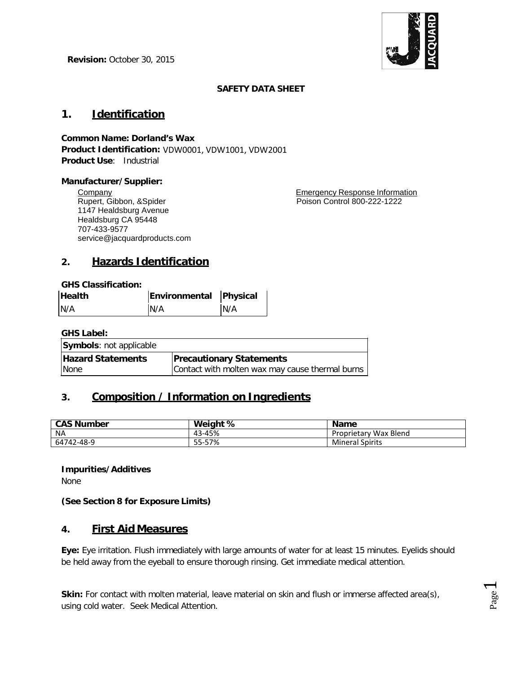

Pa  $\Xi^{\mathrm{ge}}$ 

#### **SAFETY DATA SHEET**

# **1. Identification**

# **Common Name: Dorland's Wax**

**Product Identification:** VDW0001, VDW1001, VDW2001 **Product Use**: Industrial

#### **Manufacturer/Supplier:**

**Company** Rupert, Gibbon, &Spider 1147 Healdsburg Avenue Healdsburg CA 95448 707-433-9577 service@jacquardproducts.com

Emergency Response Information Poison Control 800-222-1222

# **2. Hazards Identification**

**GHS Classification:**

| <b>Health</b> | Environmental Physical |     |
|---------------|------------------------|-----|
| N/A           | N/A                    | N/A |

**GHS Label:**

| <b>Symbols:</b> not applicable |                                                 |
|--------------------------------|-------------------------------------------------|
| <b>Hazard Statements</b>       | <b>Precautionary Statements</b>                 |
| None                           | Contact with molten wax may cause thermal burns |

# **3. Composition / Information on Ingredients**

| <b>CAS Number</b> | Weight %         | <b>Name</b>            |
|-------------------|------------------|------------------------|
| <b>NA</b>         | 43-45%           | Proprietary Wax Blend  |
| 64742-48-9        | -57%<br>$55 - 5$ | <b>Mineral Spirits</b> |

**Impurities/Additives**

None

**(See Section 8 for Exposure Limits)**

## **4. First Aid Measures**

**Eye:** Eye irritation. Flush immediately with large amounts of water for at least 15 minutes. Eyelids should be held away from the eyeball to ensure thorough rinsing. Get immediate medical attention.

Skin: For contact with molten material, leave material on skin and flush or immerse affected area(s), using cold water. Seek Medical Attention.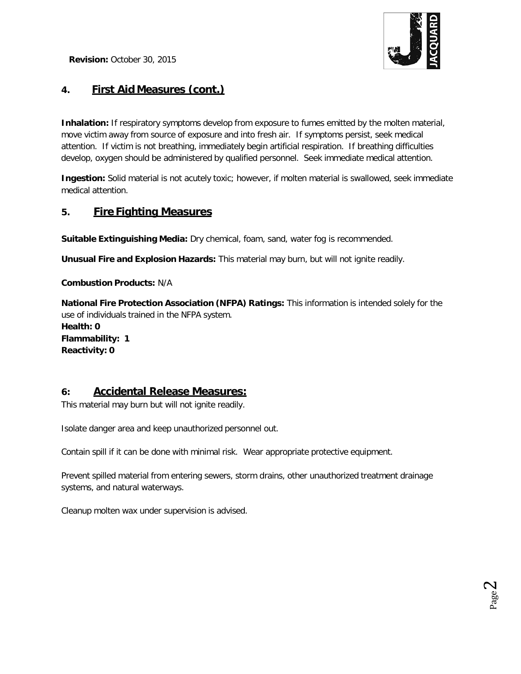

# **4. First Aid Measures (cont.)**

**Inhalation:** If respiratory symptoms develop from exposure to fumes emitted by the molten material, move victim away from source of exposure and into fresh air. If symptoms persist, seek medical attention. If victim is not breathing, immediately begin artificial respiration. If breathing difficulties develop, oxygen should be administered by qualified personnel. Seek immediate medical attention.

**Ingestion:** Solid material is not acutely toxic; however, if molten material is swallowed, seek immediate medical attention.

## **5. Fire Fighting Measures**

**Suitable Extinguishing Media:** Dry chemical, foam, sand, water fog is recommended.

**Unusual Fire and Explosion Hazards:** This material may burn, but will not ignite readily.

**Combustion Products:** N/A

**National Fire Protection Association (NFPA) Ratings:** This information is intended solely for the use of individuals trained in the NFPA system. **Health: 0 Flammability: 1 Reactivity: 0**

## **6: Accidental Release Measures:**

This material may burn but will not ignite readily.

Isolate danger area and keep unauthorized personnel out.

Contain spill if it can be done with minimal risk. Wear appropriate protective equipment.

Prevent spilled material from entering sewers, storm drains, other unauthorized treatment drainage systems, and natural waterways.

Cleanup molten wax under supervision is advised.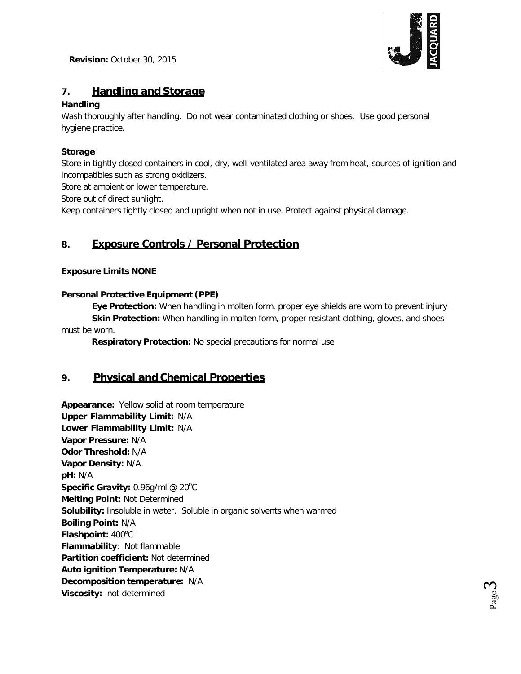

Pa က္ခ

# **7. Handling and Storage**

### **Handling**

Wash thoroughly after handling. Do not wear contaminated clothing or shoes. Use good personal hygiene practice.

## **Storage**

Store in tightly closed containers in cool, dry, well-ventilated area away from heat, sources of ignition and incompatibles such as strong oxidizers.

Store at ambient or lower temperature.

Store out of direct sunlight.

Keep containers tightly closed and upright when not in use. Protect against physical damage.

# **8. Exposure Controls / Personal Protection**

### **Exposure Limits NONE**

### **Personal Protective Equipment (PPE)**

**Eye Protection:** When handling in molten form, proper eye shields are worn to prevent injury **Skin Protection:** When handling in molten form, proper resistant clothing, gloves, and shoes must be worn.

**Respiratory Protection:** No special precautions for normal use

## **9. Physical and Chemical Properties**

**Appearance:** Yellow solid at room temperature **Upper Flammability Limit:** N/A **Lower Flammability Limit:** N/A **Vapor Pressure:** N/A **Odor Threshold:** N/A **Vapor Density:** N/A **pH:** N/A **Specific Gravity: 0.96g/ml @ 20°C Melting Point:** Not Determined **Solubility:** Insoluble in water. Soluble in organic solvents when warmed **Boiling Point:** N/A Flashpoint: 400°C **Flammability**: Not flammable **Partition coefficient:** Not determined **Auto ignition Temperature:** N/A **Decomposition temperature:** N/A **Viscosity:** not determined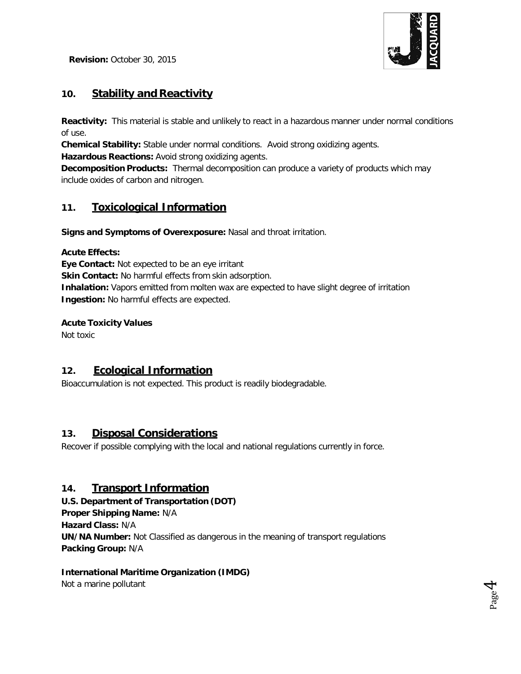

Pa  $\mathcal{A}^{\mathsf{F}}$ 

# **10. Stability and Reactivity**

**Reactivity:** This material is stable and unlikely to react in a hazardous manner under normal conditions of use.

**Chemical Stability:** Stable under normal conditions. Avoid strong oxidizing agents.

**Hazardous Reactions:** Avoid strong oxidizing agents.

**Decomposition Products:** Thermal decomposition can produce a variety of products which may include oxides of carbon and nitrogen.

# **11. Toxicological Information**

**Signs and Symptoms of Overexposure:** Nasal and throat irritation.

### **Acute Effects:**

**Eye Contact:** Not expected to be an eye irritant **Skin Contact:** No harmful effects from skin adsorption. **Inhalation:** Vapors emitted from molten wax are expected to have slight degree of irritation **Ingestion:** No harmful effects are expected.

## **Acute Toxicity Values**

Not toxic

## **12. Ecological Information**

Bioaccumulation is not expected. This product is readily biodegradable.

## **13. Disposal Considerations**

Recover if possible complying with the local and national regulations currently in force.

## **14. Transport Information**

**U.S. Department of Transportation (DOT) Proper Shipping Name:** N/A **Hazard Class:** N/A **UN/NA Number:** Not Classified as dangerous in the meaning of transport regulations **Packing Group:** N/A

## **International Maritime Organization (IMDG)**

Not a marine pollutant